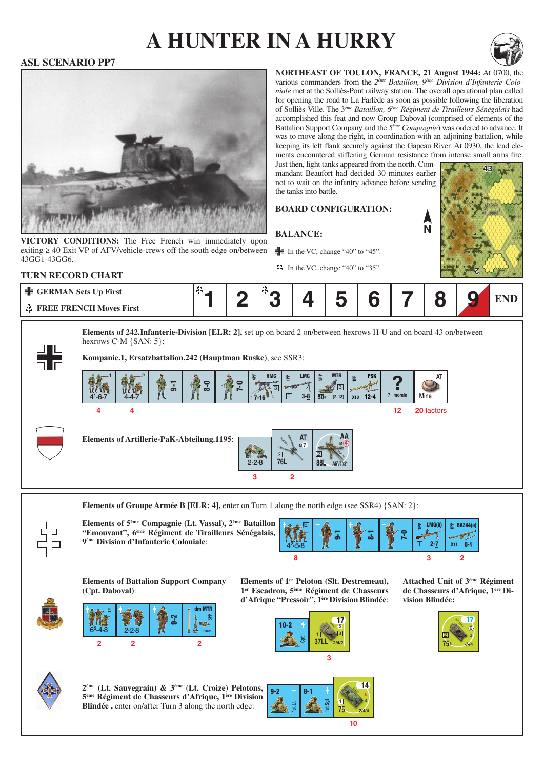# **a hunter in a hurry**



**43**

### **ASL SCENARIO PP7**



**VICTORY CONDITIONS:** The Free French win immediately upon exiting  $\geq$  40 Exit VP of AFV/vehicle-crews off the south edge on/between 43GG1-43GG6.

**northeast of toulon, france, 21 August 1944:** At 0700, the various commanders from the *2ème Bataillon, 9ème Division d'Infanterie Coloniale* met at the Solliès-Pont railway station. The overall operational plan called for opening the road to La Farlède as soon as possible following the liberation of Solliès-Ville. The 3*ème Bataillon, 6ème Régiment de Tirailleurs Sénégalais* had accomplished this feat and now Group Daboval (comprised of elements of the Battalion Support Company and the *5ème Compagnie*) was ordered to advance. It was to move along the right, in coordination with an adjoining battalion, while keeping its left flank securely against the Gapeau River. At 0930, the lead elements encountered stiffening German resistance from intense small arms fire.

**N**

Just then, light tanks appeared from the north. Commandant Beaufort had decided 30 minutes earlier not to wait on the infantry advance before sending the tanks into battle.

### **Board configuration:**

**Balance:**

 $\frac{1}{2}$  In the VC, change "40" to "45".

 $\frac{3}{10}$  In the VC, change "40" to "35".



**Elements of 242.Infanterie-Division [ELR: 2],** set up on board 2 on/between hexrows H-U and on board 43 on/between hexrows C-M {SAN: 5}:

**Kompanie.1, Ersatzbattalion.242 (Hauptman Ruske)**, see SSR3:



**Elements of Groupe Armée B [ELR: 4], enter on Turn 1 along the north edge (see SSR4) {SAN: 2}:** 



**Elements of 5ème Compagnie (Lt. Vassal), 2ème Bataillon "Emouvant", 6ème Régiment de Tirailleurs Sénégalais, 9ème Division d'Infanterie Coloniale**:



**Elements of Battalion Support Company (Cpt. Daboval)**:







**Attached Unit of 3ème Régiment de Chasseurs d'Afrique, 1ère Division Blindée:**





**2ème (Lt. Sauvegrain) & 3ème (Lt. Croize) Pelotons, 5ème Régiment de Chasseurs d'Afrique, 1ère Division Blindée**, enter on/after Turn 3 along the north edge: